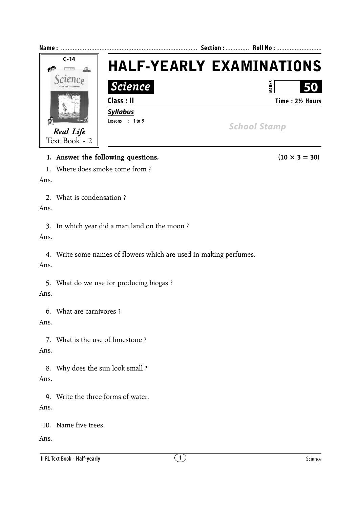

## **1.** Answer the following questions. (10  $\times$  3 = 30)

1. Where does smoke come from ?

Ans.

2. What is condensation ?

Ans.

3. In which year did a man land on the moon ?

Ans.

4. Write some names of flowers which are used in making perfumes. Ans.

5. What do we use for producing biogas ? Ans.

6. What are carnivores ?

## Ans.

7. What is the use of limestone ? Ans.

8. Why does the sun look small ? Ans.

9. Write the three forms of water. Ans.

10. Name five trees.

Ans.